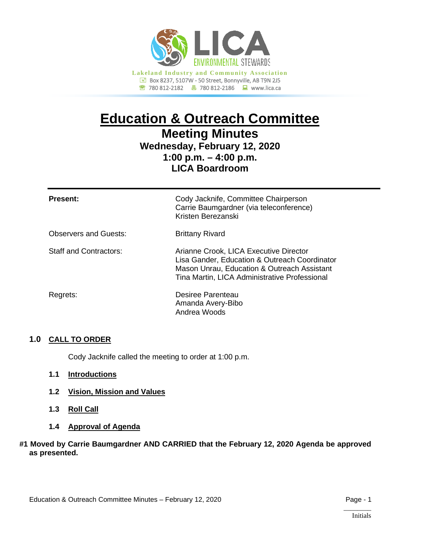

# **Education & Outreach Committee Meeting Minutes**

## **Wednesday, February 12, 2020 1:00 p.m. – 4:00 p.m. LICA Boardroom**

| <b>Present:</b>              | Cody Jacknife, Committee Chairperson<br>Carrie Baumgardner (via teleconference)<br>Kristen Berezanski                                                                                   |
|------------------------------|-----------------------------------------------------------------------------------------------------------------------------------------------------------------------------------------|
| <b>Observers and Guests:</b> | <b>Brittany Rivard</b>                                                                                                                                                                  |
| Staff and Contractors:       | Arianne Crook, LICA Executive Director<br>Lisa Gander, Education & Outreach Coordinator<br>Mason Unrau, Education & Outreach Assistant<br>Tina Martin, LICA Administrative Professional |
| Regrets:                     | Desiree Parenteau<br>Amanda Avery-Bibo<br>Andrea Woods                                                                                                                                  |

#### **1.0 CALL TO ORDER**

Cody Jacknife called the meeting to order at 1:00 p.m.

- **1.1 Introductions**
- **1.2 Vision, Mission and Values**
- **1.3 Roll Call**
- **1.4 Approval of Agenda**

#### **#1 Moved by Carrie Baumgardner AND CARRIED that the February 12, 2020 Agenda be approved as presented.**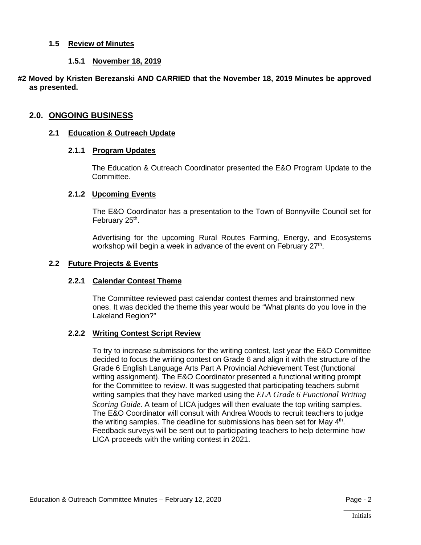#### **1.5 Review of Minutes**

#### **1.5.1 November 18, 2019**

#### **#2 Moved by Kristen Berezanski AND CARRIED that the November 18, 2019 Minutes be approved as presented.**

#### **2.0. ONGOING BUSINESS**

#### **2.1 Education & Outreach Update**

#### **2.1.1 Program Updates**

The Education & Outreach Coordinator presented the E&O Program Update to the Committee.

#### **2.1.2 Upcoming Events**

The E&O Coordinator has a presentation to the Town of Bonnyville Council set for February 25<sup>th</sup>.

Advertising for the upcoming Rural Routes Farming, Energy, and Ecosystems workshop will begin a week in advance of the event on February 27<sup>th</sup>.

#### **2.2 Future Projects & Events**

#### **2.2.1 Calendar Contest Theme**

The Committee reviewed past calendar contest themes and brainstormed new ones. It was decided the theme this year would be "What plants do you love in the Lakeland Region?"

#### **2.2.2 Writing Contest Script Review**

To try to increase submissions for the writing contest, last year the E&O Committee decided to focus the writing contest on Grade 6 and align it with the structure of the Grade 6 English Language Arts Part A Provincial Achievement Test (functional writing assignment). The E&O Coordinator presented a functional writing prompt for the Committee to review. It was suggested that participating teachers submit writing samples that they have marked using the *ELA Grade 6 Functional Writing Scoring Guide.* A team of LICA judges will then evaluate the top writing samples. The E&O Coordinator will consult with Andrea Woods to recruit teachers to judge the writing samples. The deadline for submissions has been set for May  $4<sup>th</sup>$ . Feedback surveys will be sent out to participating teachers to help determine how LICA proceeds with the writing contest in 2021.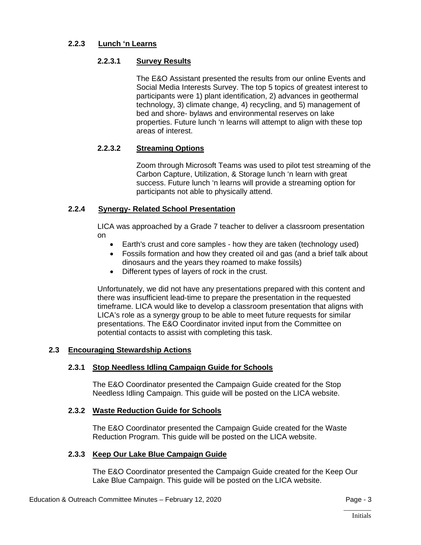#### **2.2.3 Lunch 'n Learns**

#### **2.2.3.1 Survey Results**

The E&O Assistant presented the results from our online Events and Social Media Interests Survey. The top 5 topics of greatest interest to participants were 1) plant identification, 2) advances in geothermal technology, 3) climate change, 4) recycling, and 5) management of bed and shore- bylaws and environmental reserves on lake properties. Future lunch 'n learns will attempt to align with these top areas of interest.

#### **2.2.3.2 Streaming Options**

Zoom through Microsoft Teams was used to pilot test streaming of the Carbon Capture, Utilization, & Storage lunch 'n learn with great success. Future lunch 'n learns will provide a streaming option for participants not able to physically attend.

#### **2.2.4 Synergy- Related School Presentation**

LICA was approached by a Grade 7 teacher to deliver a classroom presentation on

- Earth's crust and core samples how they are taken (technology used)
- Fossils formation and how they created oil and gas (and a brief talk about dinosaurs and the years they roamed to make fossils)
- Different types of layers of rock in the crust.

Unfortunately, we did not have any presentations prepared with this content and there was insufficient lead-time to prepare the presentation in the requested timeframe. LICA would like to develop a classroom presentation that aligns with LICA's role as a synergy group to be able to meet future requests for similar presentations. The E&O Coordinator invited input from the Committee on potential contacts to assist with completing this task.

#### **2.3 Encouraging Stewardship Actions**

#### **2.3.1 Stop Needless Idling Campaign Guide for Schools**

The E&O Coordinator presented the Campaign Guide created for the Stop Needless Idling Campaign. This guide will be posted on the LICA website.

#### **2.3.2 Waste Reduction Guide for Schools**

The E&O Coordinator presented the Campaign Guide created for the Waste Reduction Program. This guide will be posted on the LICA website.

#### **2.3.3 Keep Our Lake Blue Campaign Guide**

The E&O Coordinator presented the Campaign Guide created for the Keep Our Lake Blue Campaign. This guide will be posted on the LICA website.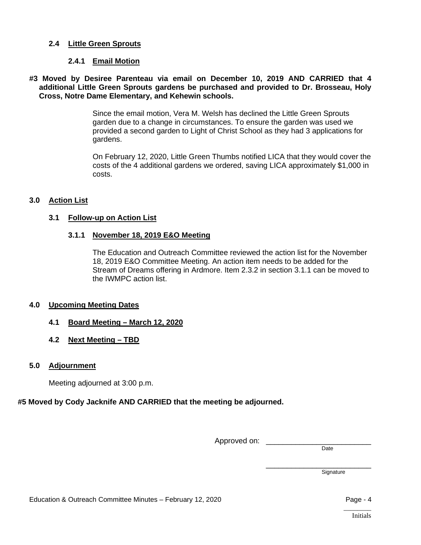#### **2.4 Little Green Sprouts**

#### **2.4.1 Email Motion**

#### **#3 Moved by Desiree Parenteau via email on December 10, 2019 AND CARRIED that 4 additional Little Green Sprouts gardens be purchased and provided to Dr. Brosseau, Holy Cross, Notre Dame Elementary, and Kehewin schools.**

Since the email motion, Vera M. Welsh has declined the Little Green Sprouts garden due to a change in circumstances. To ensure the garden was used we provided a second garden to Light of Christ School as they had 3 applications for gardens.

On February 12, 2020, Little Green Thumbs notified LICA that they would cover the costs of the 4 additional gardens we ordered, saving LICA approximately \$1,000 in costs.

#### **3.0 Action List**

#### **3.1 Follow-up on Action List**

#### **3.1.1 November 18, 2019 E&O Meeting**

The Education and Outreach Committee reviewed the action list for the November 18, 2019 E&O Committee Meeting. An action item needs to be added for the Stream of Dreams offering in Ardmore. Item 2.3.2 in section 3.1.1 can be moved to the IWMPC action list.

#### **4.0 Upcoming Meeting Dates**

- **4.1 Board Meeting – March 12, 2020**
- **4.2 Next Meeting – TBD**

#### **5.0 Adjournment**

Meeting adjourned at 3:00 p.m.

#### **#5 Moved by Cody Jacknife AND CARRIED that the meeting be adjourned.**

Approved on:

Date

\_\_\_\_\_\_\_\_\_\_\_\_\_\_\_\_\_\_\_\_\_\_\_\_\_ Signature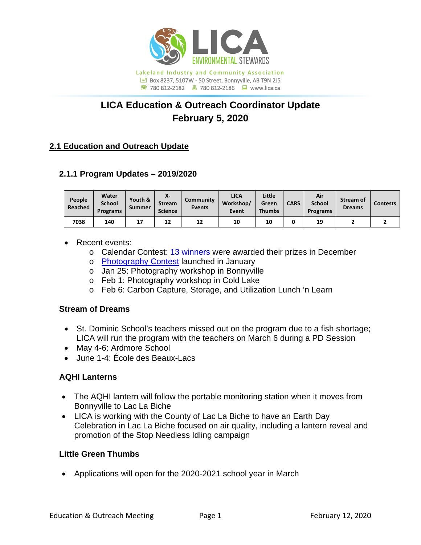

## **LICA Education & Outreach Coordinator Update February 5, 2020**

## **2.1 Education and Outreach Update**

## **2.1.1 Program Updates – 2019/2020**

| People<br>Reached | Water<br><b>School</b><br><b>Programs</b> | Youth &<br>Summer | χ.<br><b>Stream</b><br><b>Science</b> | <b>Community</b><br><b>Events</b> | <b>LICA</b><br>Workshop/<br>Event | Little<br>Green<br><b>Thumbs</b> | <b>CARS</b> | Air<br><b>School</b><br>Programs | Stream of<br><b>Dreams</b> | <b>Contests</b> |
|-------------------|-------------------------------------------|-------------------|---------------------------------------|-----------------------------------|-----------------------------------|----------------------------------|-------------|----------------------------------|----------------------------|-----------------|
| 7038              | 140                                       |                   | 12                                    | 12                                | 10                                | 10                               |             | 19                               |                            |                 |

## • Recent events:

- o Calendar Contest: [13 winners](https://lica.ca/wp-content/uploads/2019/12/Winners.jpg) were awarded their prizes in December
- o [Photography Contest](https://lica.ca/wp-content/uploads/2020/01/Photography-Contest.pdf) launched in January
- o Jan 25: Photography workshop in Bonnyville
- o Feb 1: Photography workshop in Cold Lake
- o Feb 6: Carbon Capture, Storage, and Utilization Lunch 'n Learn

### **Stream of Dreams**

- St. Dominic School's teachers missed out on the program due to a fish shortage; LICA will run the program with the teachers on March 6 during a PD Session
- May 4-6: Ardmore School
- June 1-4: École des Beaux-Lacs

## **AQHI Lanterns**

- The AQHI lantern will follow the portable monitoring station when it moves from Bonnyville to Lac La Biche
- LICA is working with the County of Lac La Biche to have an Earth Day Celebration in Lac La Biche focused on air quality, including a lantern reveal and promotion of the Stop Needless Idling campaign

## **Little Green Thumbs**

• Applications will open for the 2020-2021 school year in March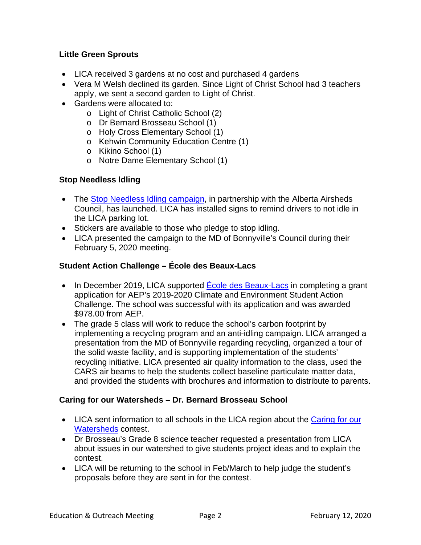## **Little Green Sprouts**

- LICA received 3 gardens at no cost and purchased 4 gardens
- Vera M Welsh declined its garden. Since Light of Christ School had 3 teachers apply, we sent a second garden to Light of Christ.
- Gardens were allocated to:
	- o Light of Christ Catholic School (2)
	- o Dr Bernard Brosseau School (1)
	- o Holy Cross Elementary School (1)
	- o Kehwin Community Education Centre (1)
	- o Kikino School (1)
	- o Notre Dame Elementary School (1)

## **Stop Needless ldling**

- The [Stop Needless Idling](https://www.albertaairshedscouncil.ca/60-seconds) campaign, in partnership with the Alberta Airsheds Council, has launched. LICA has installed signs to remind drivers to not idle in the LICA parking lot.
- Stickers are available to those who pledge to stop idling.
- LICA presented the campaign to the MD of Bonnyville's Council during their February 5, 2020 meeting.

## **Student Action Challenge – École des Beaux-Lacs**

- In December 2019, LICA supported Ecole des Beaux-Lacs in completing a grant application for AEP's 2019-2020 Climate and Environment Student Action Challenge. The school was successful with its application and was awarded \$978.00 from AEP.
- The grade 5 class will work to reduce the school's carbon footprint by implementing a recycling program and an anti-idling campaign. LICA arranged a presentation from the MD of Bonnyville regarding recycling, organized a tour of the solid waste facility, and is supporting implementation of the students' recycling initiative. LICA presented air quality information to the class, used the CARS air beams to help the students collect baseline particulate matter data, and provided the students with brochures and information to distribute to parents.

## **Caring for our Watersheds – Dr. Bernard Brosseau School**

- LICA sent information to all schools in the LICA region about the Caring for our [Watersheds](https://caringforourwatersheds.com/canada/central-alberta/contests/past-winners/) contest.
- Dr Brosseau's Grade 8 science teacher requested a presentation from LICA about issues in our watershed to give students project ideas and to explain the contest.
- LICA will be returning to the school in Feb/March to help judge the student's proposals before they are sent in for the contest.